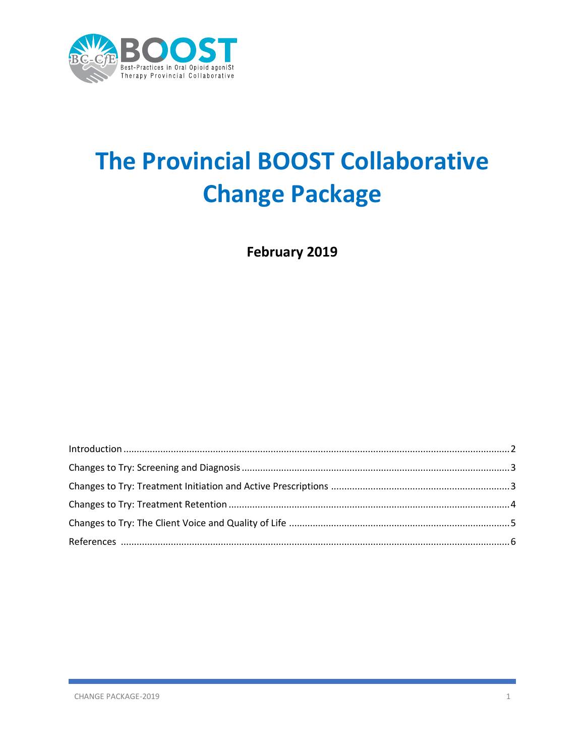

# **The Provincial BOOST Collaborative Change Package**

February 2019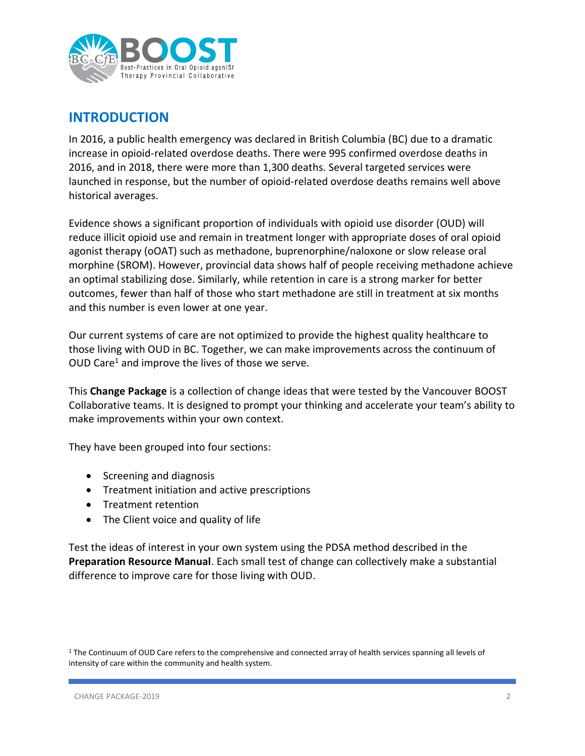

### **INTRODUCTION**

In 2016, a public health emergency was declared in British Columbia (BC) due to a dramatic increase in opioid-related overdose deaths. There were 995 confirmed overdose deaths in 2016, and in 2018, there were more than 1,300 deaths. Several targeted services were launched in response, but the number of opioid-related overdose deaths remains well above historical averages.

Evidence shows a significant proportion of individuals with opioid use disorder (OUD) will reduce illicit opioid use and remain in treatment longer with appropriate doses of oral opioid agonist therapy (oOAT) such as methadone, buprenorphine/naloxone or slow release oral morphine (SROM). However, provincial data shows half of people receiving methadone achieve an optimal stabilizing dose. Similarly, while retention in care is a strong marker for better outcomes, fewer than half of those who start methadone are still in treatment at six months and this number is even lower at one year.

Our current systems of care are not optimized to provide the highest quality healthcare to those living with OUD in BC. Together, we can make improvements across the continuum of OUD Care<sup>1</sup> and improve the lives of those we serve.

This **Change Package** is a collection of change ideas that were tested by the Vancouver BOOST Collaborative teams. It is designed to prompt your thinking and accelerate your team's ability to make improvements within your own context.

They have been grouped into four sections:

- Screening and diagnosis
- Treatment initiation and active prescriptions
- Treatment retention
- The Client voice and quality of life

Test the ideas of interest in your own system using the PDSA method described in the **Preparation Resource Manual**. Each small test of change can collectively make a substantial difference to improve care for those living with OUD.

<sup>&</sup>lt;sup>1</sup> The Continuum of OUD Care refers to the comprehensive and connected array of health services spanning all levels of intensity of care within the community and health system.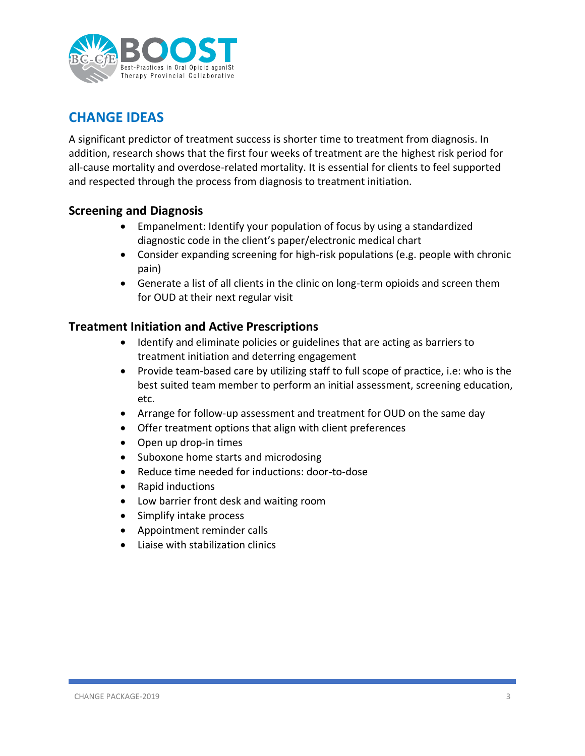

## **CHANGE IDEAS**

A significant predictor of treatment success is shorter time to treatment from diagnosis. In addition, research shows that the first four weeks of treatment are the highest risk period for all-cause mortality and overdose-related mortality. It is essential for clients to feel supported and respected through the process from diagnosis to treatment initiation.

#### **Screening and Diagnosis**

- Empanelment: Identify your population of focus by using a standardized diagnostic code in the client's paper/electronic medical chart
- Consider expanding screening for high-risk populations (e.g. people with chronic pain)
- Generate a list of all clients in the clinic on long-term opioids and screen them for OUD at their next regular visit

#### **Treatment Initiation and Active Prescriptions**

- Identify and eliminate policies or guidelines that are acting as barriers to treatment initiation and deterring engagement
- Provide team-based care by utilizing staff to full scope of practice, i.e: who is the best suited team member to perform an initial assessment, screening education, etc.
- Arrange for follow-up assessment and treatment for OUD on the same day
- Offer treatment options that align with client preferences
- Open up drop-in times
- Suboxone home starts and microdosing
- Reduce time needed for inductions: door-to-dose
- Rapid inductions
- Low barrier front desk and waiting room
- Simplify intake process
- Appointment reminder calls
- Liaise with stabilization clinics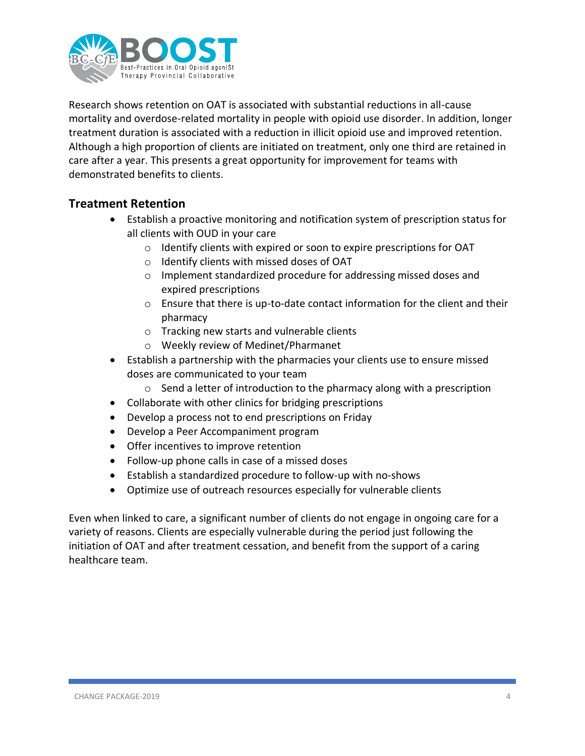

Research shows retention on OAT is associated with substantial reductions in all-cause mortality and overdose-related mortality in people with opioid use disorder. In addition, longer treatment duration is associated with a reduction in illicit opioid use and improved retention. Although a high proportion of clients are initiated on treatment, only one third are retained in care after a year. This presents a great opportunity for improvement for teams with demonstrated benefits to clients.

#### **Treatment Retention**

- Establish a proactive monitoring and notification system of prescription status for all clients with OUD in your care
	- o Identify clients with expired or soon to expire prescriptions for OAT
	- o Identify clients with missed doses of OAT
	- o Implement standardized procedure for addressing missed doses and expired prescriptions
	- o Ensure that there is up-to-date contact information for the client and their pharmacy
	- o Tracking new starts and vulnerable clients
	- o Weekly review of Medinet/Pharmanet
- Establish a partnership with the pharmacies your clients use to ensure missed doses are communicated to your team
	- o Send a letter of introduction to the pharmacy along with a prescription
- Collaborate with other clinics for bridging prescriptions
- Develop a process not to end prescriptions on Friday
- Develop a Peer Accompaniment program
- Offer incentives to improve retention
- Follow-up phone calls in case of a missed doses
- Establish a standardized procedure to follow-up with no-shows
- Optimize use of outreach resources especially for vulnerable clients

Even when linked to care, a significant number of clients do not engage in ongoing care for a variety of reasons. Clients are especially vulnerable during the period just following the initiation of OAT and after treatment cessation, and benefit from the support of a caring healthcare team.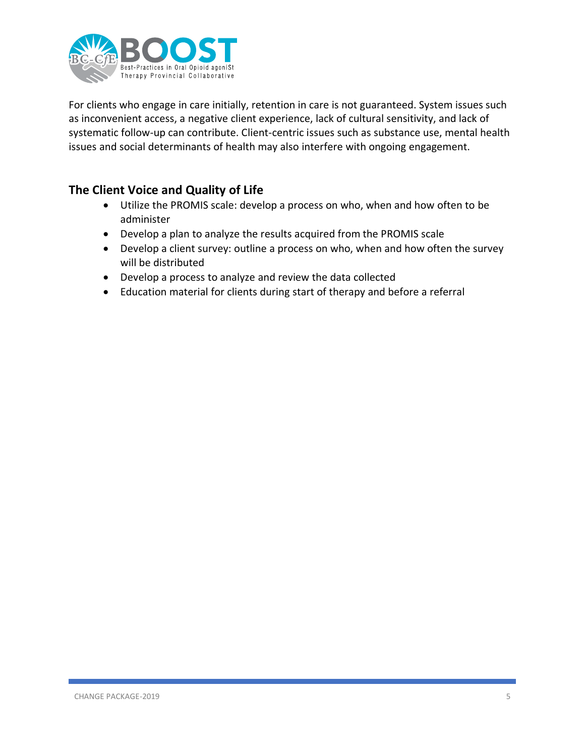

For clients who engage in care initially, retention in care is not guaranteed. System issues such as inconvenient access, a negative client experience, lack of cultural sensitivity, and lack of systematic follow-up can contribute. Client-centric issues such as substance use, mental health issues and social determinants of health may also interfere with ongoing engagement.

#### **The Client Voice and Quality of Life**

- Utilize the PROMIS scale: develop a process on who, when and how often to be administer
- Develop a plan to analyze the results acquired from the PROMIS scale
- Develop a client survey: outline a process on who, when and how often the survey will be distributed
- Develop a process to analyze and review the data collected
- Education material for clients during start of therapy and before a referral